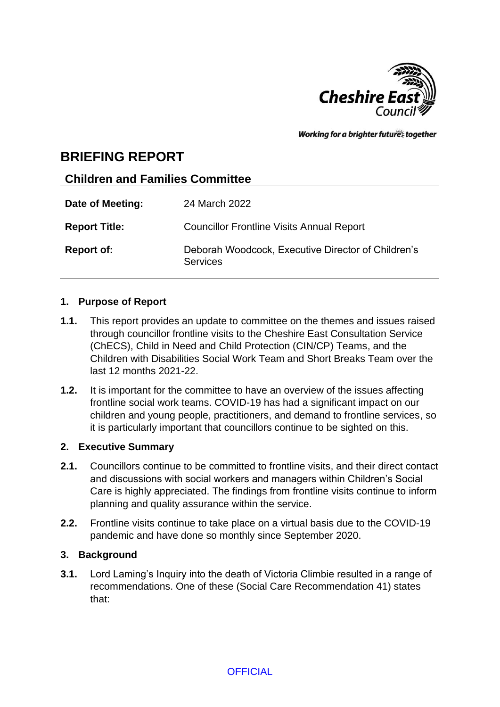

Working for a brighter futures together

## **BRIEFING REPORT**

## **Children and Families Committee**

| Date of Meeting:     | 24 March 2022                                                         |
|----------------------|-----------------------------------------------------------------------|
| <b>Report Title:</b> | <b>Councillor Frontline Visits Annual Report</b>                      |
| <b>Report of:</b>    | Deborah Woodcock, Executive Director of Children's<br><b>Services</b> |

#### **1. Purpose of Report**

- **1.1.** This report provides an update to committee on the themes and issues raised through councillor frontline visits to the Cheshire East Consultation Service (ChECS), Child in Need and Child Protection (CIN/CP) Teams, and the Children with Disabilities Social Work Team and Short Breaks Team over the last 12 months 2021-22.
- **1.2.** It is important for the committee to have an overview of the issues affecting frontline social work teams. COVID-19 has had a significant impact on our children and young people, practitioners, and demand to frontline services, so it is particularly important that councillors continue to be sighted on this.

#### **2. Executive Summary**

- **2.1.** Councillors continue to be committed to frontline visits, and their direct contact and discussions with social workers and managers within Children's Social Care is highly appreciated. The findings from frontline visits continue to inform planning and quality assurance within the service.
- **2.2.** Frontline visits continue to take place on a virtual basis due to the COVID-19 pandemic and have done so monthly since September 2020.

#### **3. Background**

**3.1.** Lord Laming's Inquiry into the death of Victoria Climbie resulted in a range of recommendations. One of these (Social Care Recommendation 41) states that: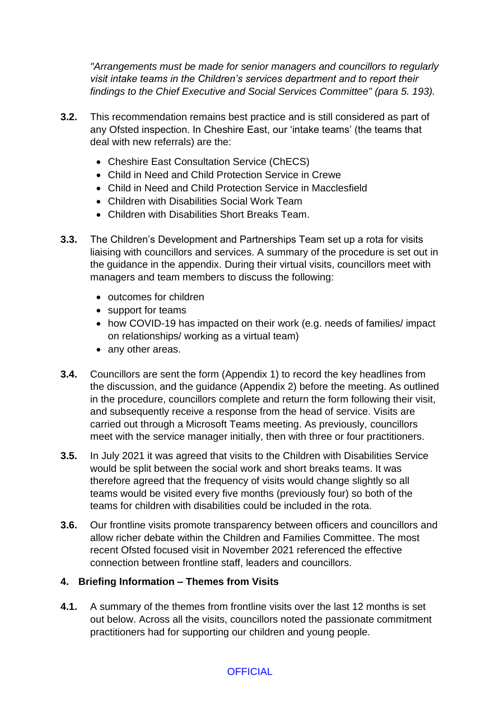*"Arrangements must be made for senior managers and councillors to regularly visit intake teams in the Children's services department and to report their findings to the Chief Executive and Social Services Committee" (para 5. 193).*

- **3.2.** This recommendation remains best practice and is still considered as part of any Ofsted inspection. In Cheshire East, our 'intake teams' (the teams that deal with new referrals) are the:
	- Cheshire East Consultation Service (ChECS)
	- Child in Need and Child Protection Service in Crewe
	- Child in Need and Child Protection Service in Macclesfield
	- Children with Disabilities Social Work Team
	- Children with Disabilities Short Breaks Team.
- **3.3.** The Children's Development and Partnerships Team set up a rota for visits liaising with councillors and services. A summary of the procedure is set out in the guidance in the appendix. During their virtual visits, councillors meet with managers and team members to discuss the following:
	- outcomes for children
	- support for teams
	- how COVID-19 has impacted on their work (e.g. needs of families/ impact on relationships/ working as a virtual team)
	- any other areas.
- **3.4.** Councillors are sent the form (Appendix 1) to record the key headlines from the discussion, and the guidance (Appendix 2) before the meeting. As outlined in the procedure, councillors complete and return the form following their visit, and subsequently receive a response from the head of service. Visits are carried out through a Microsoft Teams meeting. As previously, councillors meet with the service manager initially, then with three or four practitioners.
- **3.5.** In July 2021 it was agreed that visits to the Children with Disabilities Service would be split between the social work and short breaks teams. It was therefore agreed that the frequency of visits would change slightly so all teams would be visited every five months (previously four) so both of the teams for children with disabilities could be included in the rota.
- **3.6.** Our frontline visits promote transparency between officers and councillors and allow richer debate within the Children and Families Committee. The most recent Ofsted focused visit in November 2021 referenced the effective connection between frontline staff, leaders and councillors.

## **4. Briefing Information – Themes from Visits**

**4.1.** A summary of the themes from frontline visits over the last 12 months is set out below. Across all the visits, councillors noted the passionate commitment practitioners had for supporting our children and young people.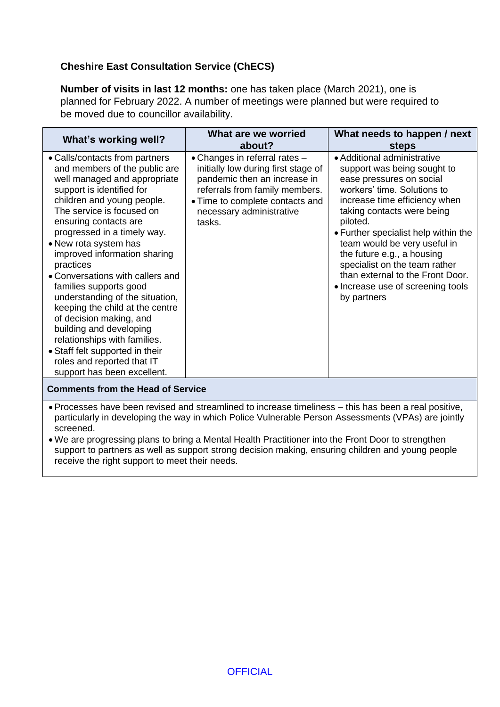## **Cheshire East Consultation Service (ChECS)**

**Number of visits in last 12 months:** one has taken place (March 2021), one is planned for February 2022. A number of meetings were planned but were required to be moved due to councillor availability.

| What's working well?                                                                                                                                                                                                                                                                                                                                                                                                                                                                                                                                                                                                                            | What are we worried<br>about?                                                                                                                                                                                   | What needs to happen / next<br><b>steps</b>                                                                                                                                                                                                                                                                                                                                                                                     |
|-------------------------------------------------------------------------------------------------------------------------------------------------------------------------------------------------------------------------------------------------------------------------------------------------------------------------------------------------------------------------------------------------------------------------------------------------------------------------------------------------------------------------------------------------------------------------------------------------------------------------------------------------|-----------------------------------------------------------------------------------------------------------------------------------------------------------------------------------------------------------------|---------------------------------------------------------------------------------------------------------------------------------------------------------------------------------------------------------------------------------------------------------------------------------------------------------------------------------------------------------------------------------------------------------------------------------|
| • Calls/contacts from partners<br>and members of the public are<br>well managed and appropriate<br>support is identified for<br>children and young people.<br>The service is focused on<br>ensuring contacts are<br>progressed in a timely way.<br>• New rota system has<br>improved information sharing<br>practices<br>• Conversations with callers and<br>families supports good<br>understanding of the situation,<br>keeping the child at the centre<br>of decision making, and<br>building and developing<br>relationships with families.<br>• Staff felt supported in their<br>roles and reported that IT<br>support has been excellent. | • Changes in referral rates -<br>initially low during first stage of<br>pandemic then an increase in<br>referrals from family members.<br>• Time to complete contacts and<br>necessary administrative<br>tasks. | • Additional administrative<br>support was being sought to<br>ease pressures on social<br>workers' time. Solutions to<br>increase time efficiency when<br>taking contacts were being<br>piloted.<br>• Further specialist help within the<br>team would be very useful in<br>the future e.g., a housing<br>specialist on the team rather<br>than external to the Front Door.<br>• Increase use of screening tools<br>by partners |
| <b>Comments from the Head of Service</b>                                                                                                                                                                                                                                                                                                                                                                                                                                                                                                                                                                                                        |                                                                                                                                                                                                                 |                                                                                                                                                                                                                                                                                                                                                                                                                                 |

- Processes have been revised and streamlined to increase timeliness this has been a real positive, particularly in developing the way in which Police Vulnerable Person Assessments (VPAs) are jointly screened.
- We are progressing plans to bring a Mental Health Practitioner into the Front Door to strengthen support to partners as well as support strong decision making, ensuring children and young people receive the right support to meet their needs.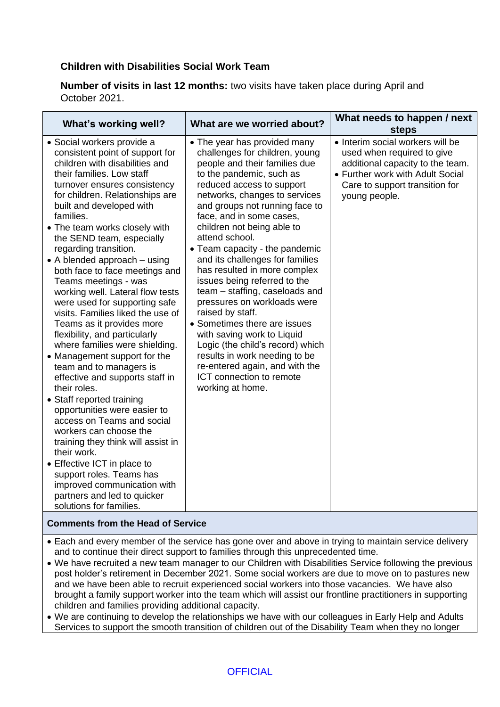## **Children with Disabilities Social Work Team**

**Number of visits in last 12 months:** two visits have taken place during April and October 2021.

| What's working well?                                                                                                                                                                                                                                                                                                                                                                                                                                                                                                                                                                                                                                                                                                                                                                                                                                                                                                                                                                                                                                                                      | What are we worried about?                                                                                                                                                                                                                                                                                                                                                                                                                                                                                                                                                                                                                                                                                                                             | What needs to happen / next<br><b>steps</b>                                                                                                                                               |
|-------------------------------------------------------------------------------------------------------------------------------------------------------------------------------------------------------------------------------------------------------------------------------------------------------------------------------------------------------------------------------------------------------------------------------------------------------------------------------------------------------------------------------------------------------------------------------------------------------------------------------------------------------------------------------------------------------------------------------------------------------------------------------------------------------------------------------------------------------------------------------------------------------------------------------------------------------------------------------------------------------------------------------------------------------------------------------------------|--------------------------------------------------------------------------------------------------------------------------------------------------------------------------------------------------------------------------------------------------------------------------------------------------------------------------------------------------------------------------------------------------------------------------------------------------------------------------------------------------------------------------------------------------------------------------------------------------------------------------------------------------------------------------------------------------------------------------------------------------------|-------------------------------------------------------------------------------------------------------------------------------------------------------------------------------------------|
| • Social workers provide a<br>consistent point of support for<br>children with disabilities and<br>their families. Low staff<br>turnover ensures consistency<br>for children. Relationships are<br>built and developed with<br>families.<br>• The team works closely with<br>the SEND team, especially<br>regarding transition.<br>$\bullet$ A blended approach $-$ using<br>both face to face meetings and<br>Teams meetings - was<br>working well. Lateral flow tests<br>were used for supporting safe<br>visits. Families liked the use of<br>Teams as it provides more<br>flexibility, and particularly<br>where families were shielding.<br>• Management support for the<br>team and to managers is<br>effective and supports staff in<br>their roles.<br>• Staff reported training<br>opportunities were easier to<br>access on Teams and social<br>workers can choose the<br>training they think will assist in<br>their work.<br>• Effective ICT in place to<br>support roles. Teams has<br>improved communication with<br>partners and led to quicker<br>solutions for families. | • The year has provided many<br>challenges for children, young<br>people and their families due<br>to the pandemic, such as<br>reduced access to support<br>networks, changes to services<br>and groups not running face to<br>face, and in some cases,<br>children not being able to<br>attend school.<br>• Team capacity - the pandemic<br>and its challenges for families<br>has resulted in more complex<br>issues being referred to the<br>team – staffing, caseloads and<br>pressures on workloads were<br>raised by staff.<br>• Sometimes there are issues<br>with saving work to Liquid<br>Logic (the child's record) which<br>results in work needing to be<br>re-entered again, and with the<br>ICT connection to remote<br>working at home. | • Interim social workers will be<br>used when required to give<br>additional capacity to the team.<br>• Further work with Adult Social<br>Care to support transition for<br>young people. |

#### **Comments from the Head of Service**

- Each and every member of the service has gone over and above in trying to maintain service delivery and to continue their direct support to families through this unprecedented time.
- We have recruited a new team manager to our Children with Disabilities Service following the previous post holder's retirement in December 2021. Some social workers are due to move on to pastures new and we have been able to recruit experienced social workers into those vacancies. We have also brought a family support worker into the team which will assist our frontline practitioners in supporting children and families providing additional capacity.
- We are continuing to develop the relationships we have with our colleagues in Early Help and Adults Services to support the smooth transition of children out of the Disability Team when they no longer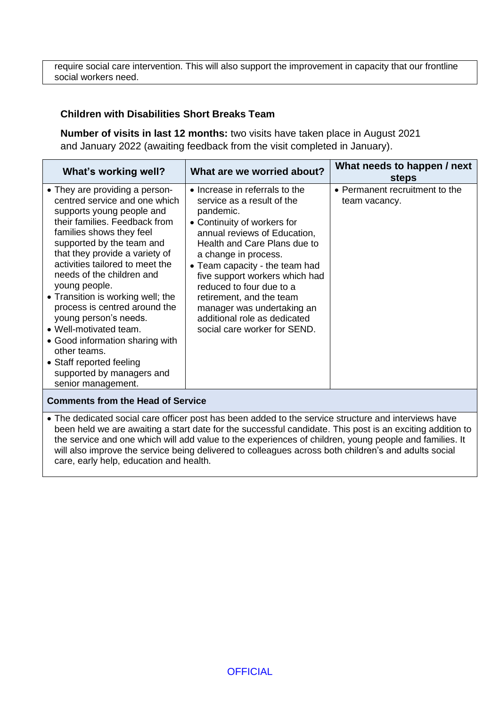require social care intervention. This will also support the improvement in capacity that our frontline social workers need.

#### **Children with Disabilities Short Breaks Team**

**Number of visits in last 12 months:** two visits have taken place in August 2021 and January 2022 (awaiting feedback from the visit completed in January).

| What's working well?                                                                                                                                                                                                                                                                                                                                                                                                                                                                                                                                                 | What are we worried about?                                                                                                                                                                                                                                                                                                                                                                                                         | What needs to happen / next<br><b>steps</b>     |
|----------------------------------------------------------------------------------------------------------------------------------------------------------------------------------------------------------------------------------------------------------------------------------------------------------------------------------------------------------------------------------------------------------------------------------------------------------------------------------------------------------------------------------------------------------------------|------------------------------------------------------------------------------------------------------------------------------------------------------------------------------------------------------------------------------------------------------------------------------------------------------------------------------------------------------------------------------------------------------------------------------------|-------------------------------------------------|
| • They are providing a person-<br>centred service and one which<br>supports young people and<br>their families. Feedback from<br>families shows they feel<br>supported by the team and<br>that they provide a variety of<br>activities tailored to meet the<br>needs of the children and<br>young people.<br>• Transition is working well; the<br>process is centred around the<br>young person's needs.<br>• Well-motivated team.<br>• Good information sharing with<br>other teams.<br>• Staff reported feeling<br>supported by managers and<br>senior management. | $\bullet$ Increase in referrals to the<br>service as a result of the<br>pandemic.<br>• Continuity of workers for<br>annual reviews of Education,<br>Health and Care Plans due to<br>a change in process.<br>• Team capacity - the team had<br>five support workers which had<br>reduced to four due to a<br>retirement, and the team<br>manager was undertaking an<br>additional role as dedicated<br>social care worker for SEND. | • Permanent recruitment to the<br>team vacancy. |
| <b>Comments from the Head of Service</b>                                                                                                                                                                                                                                                                                                                                                                                                                                                                                                                             |                                                                                                                                                                                                                                                                                                                                                                                                                                    |                                                 |

• The dedicated social care officer post has been added to the service structure and interviews have been held we are awaiting a start date for the successful candidate. This post is an exciting addition to the service and one which will add value to the experiences of children, young people and families. It will also improve the service being delivered to colleagues across both children's and adults social care, early help, education and health.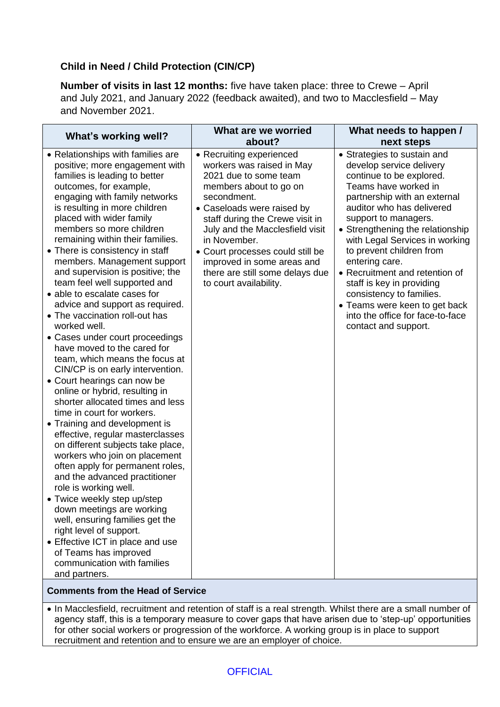## **Child in Need / Child Protection (CIN/CP)**

**Number of visits in last 12 months:** five have taken place: three to Crewe – April and July 2021, and January 2022 (feedback awaited), and two to Macclesfield – May and November 2021.

| What's working well?                                                                                                                                                                                                                                                                                                                                                                                                                                                                                                                                                                                                                                                                                                                                                                                                                                                                                                                                                                                                                                                                                                                                                                                                                                                                                               | What are we worried<br>about?                                                                                                                                                                                                                                                                                                                                              | What needs to happen /<br>next steps                                                                                                                                                                                                                                                                                                                                                                                                                                                                         |
|--------------------------------------------------------------------------------------------------------------------------------------------------------------------------------------------------------------------------------------------------------------------------------------------------------------------------------------------------------------------------------------------------------------------------------------------------------------------------------------------------------------------------------------------------------------------------------------------------------------------------------------------------------------------------------------------------------------------------------------------------------------------------------------------------------------------------------------------------------------------------------------------------------------------------------------------------------------------------------------------------------------------------------------------------------------------------------------------------------------------------------------------------------------------------------------------------------------------------------------------------------------------------------------------------------------------|----------------------------------------------------------------------------------------------------------------------------------------------------------------------------------------------------------------------------------------------------------------------------------------------------------------------------------------------------------------------------|--------------------------------------------------------------------------------------------------------------------------------------------------------------------------------------------------------------------------------------------------------------------------------------------------------------------------------------------------------------------------------------------------------------------------------------------------------------------------------------------------------------|
| • Relationships with families are<br>positive; more engagement with<br>families is leading to better<br>outcomes, for example,<br>engaging with family networks<br>is resulting in more children<br>placed with wider family<br>members so more children<br>remaining within their families.<br>• There is consistency in staff<br>members. Management support<br>and supervision is positive; the<br>team feel well supported and<br>• able to escalate cases for<br>advice and support as required.<br>• The vaccination roll-out has<br>worked well.<br>• Cases under court proceedings<br>have moved to the cared for<br>team, which means the focus at<br>CIN/CP is on early intervention.<br>• Court hearings can now be<br>online or hybrid, resulting in<br>shorter allocated times and less<br>time in court for workers.<br>• Training and development is<br>effective, regular masterclasses<br>on different subjects take place,<br>workers who join on placement<br>often apply for permanent roles,<br>and the advanced practitioner<br>role is working well.<br>• Twice weekly step up/step<br>down meetings are working<br>well, ensuring families get the<br>right level of support.<br>• Effective ICT in place and use<br>of Teams has improved<br>communication with families<br>and partners. | • Recruiting experienced<br>workers was raised in May<br>2021 due to some team<br>members about to go on<br>secondment.<br>• Caseloads were raised by<br>staff during the Crewe visit in<br>July and the Macclesfield visit<br>in November.<br>• Court processes could still be<br>improved in some areas and<br>there are still some delays due<br>to court availability. | • Strategies to sustain and<br>develop service delivery<br>continue to be explored.<br>Teams have worked in<br>partnership with an external<br>auditor who has delivered<br>support to managers.<br>• Strengthening the relationship<br>with Legal Services in working<br>to prevent children from<br>entering care.<br>• Recruitment and retention of<br>staff is key in providing<br>consistency to families.<br>• Teams were keen to get back<br>into the office for face-to-face<br>contact and support. |

#### **Comments from the Head of Service**

• In Macclesfield, recruitment and retention of staff is a real strength. Whilst there are a small number of agency staff, this is a temporary measure to cover gaps that have arisen due to 'step-up' opportunities for other social workers or progression of the workforce. A working group is in place to support recruitment and retention and to ensure we are an employer of choice.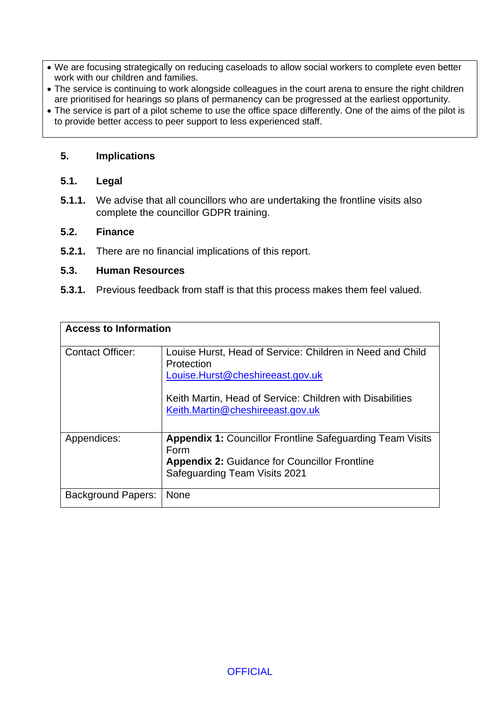- We are focusing strategically on reducing caseloads to allow social workers to complete even better work with our children and families.
- The service is continuing to work alongside colleagues in the court arena to ensure the right children are prioritised for hearings so plans of permanency can be progressed at the earliest opportunity.
- The service is part of a pilot scheme to use the office space differently. One of the aims of the pilot is to provide better access to peer support to less experienced staff.

#### **5. Implications**

#### **5.1. Legal**

**5.1.1.** We advise that all councillors who are undertaking the frontline visits also complete the councillor GDPR training.

#### **5.2. Finance**

**5.2.1.** There are no financial implications of this report.

#### **5.3. Human Resources**

**5.3.1.** Previous feedback from staff is that this process makes them feel valued.

| <b>Access to Information</b> |                                                                                               |  |
|------------------------------|-----------------------------------------------------------------------------------------------|--|
| <b>Contact Officer:</b>      | Louise Hurst, Head of Service: Children in Need and Child<br>Protection                       |  |
|                              | Louise.Hurst@cheshireeast.gov.uk                                                              |  |
|                              | Keith Martin, Head of Service: Children with Disabilities<br>Keith.Martin@cheshireeast.gov.uk |  |
| Appendices:                  | <b>Appendix 1: Councillor Frontline Safeguarding Team Visits</b><br>Form                      |  |
|                              | <b>Appendix 2: Guidance for Councillor Frontline</b><br>Safeguarding Team Visits 2021         |  |
| <b>Background Papers:</b>    | <b>None</b>                                                                                   |  |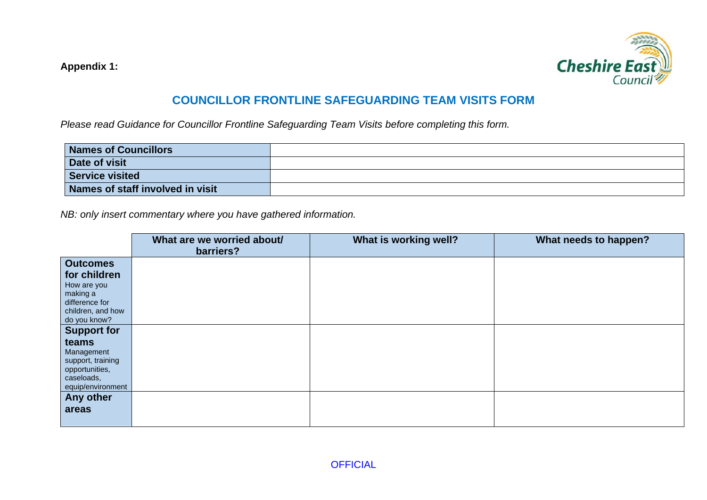**Appendix 1:** 



## **COUNCILLOR FRONTLINE SAFEGUARDING TEAM VISITS FORM**

*Please read Guidance for Councillor Frontline Safeguarding Team Visits before completing this form.*

| <b>Names of Councillors</b>      |  |
|----------------------------------|--|
| Date of visit                    |  |
| <b>Service visited</b>           |  |
| Names of staff involved in visit |  |

*NB: only insert commentary where you have gathered information.*

|                    | What are we worried about/<br>barriers? | What is working well? | What needs to happen? |
|--------------------|-----------------------------------------|-----------------------|-----------------------|
| <b>Outcomes</b>    |                                         |                       |                       |
| for children       |                                         |                       |                       |
| How are you        |                                         |                       |                       |
| making a           |                                         |                       |                       |
| difference for     |                                         |                       |                       |
| children, and how  |                                         |                       |                       |
| do you know?       |                                         |                       |                       |
| <b>Support for</b> |                                         |                       |                       |
| teams              |                                         |                       |                       |
| Management         |                                         |                       |                       |
| support, training  |                                         |                       |                       |
| opportunities,     |                                         |                       |                       |
| caseloads,         |                                         |                       |                       |
| equip/environment  |                                         |                       |                       |
| Any other          |                                         |                       |                       |
| areas              |                                         |                       |                       |
|                    |                                         |                       |                       |
|                    |                                         |                       |                       |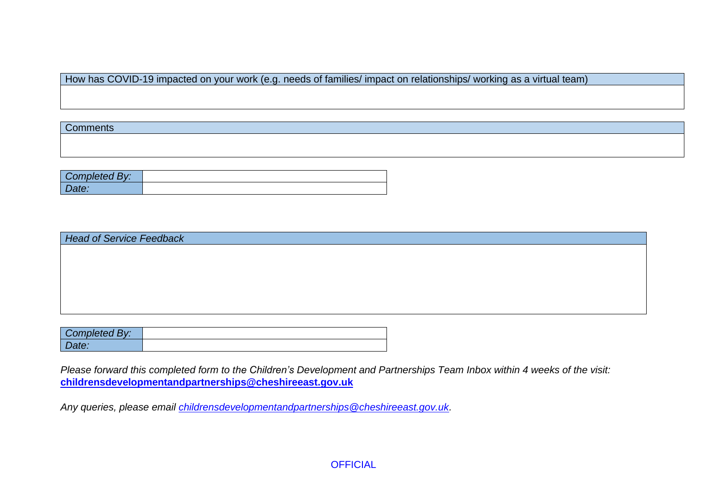How has COVID-19 impacted on your work (e.g. needs of families/ impact on relationships/ working as a virtual team)

**Comments** 

| Completed By: |  |
|---------------|--|
|               |  |

| <b>Head of Service Feedback</b> |  |
|---------------------------------|--|
|                                 |  |
|                                 |  |
|                                 |  |
|                                 |  |
|                                 |  |
|                                 |  |

| Completed By: |  |
|---------------|--|
| Jate:         |  |

*Please forward this completed form to the Children's Development and Partnerships Team Inbox within 4 weeks of the visit:* **[childrensdevelopmentandpartnerships@cheshireeast.gov.uk](mailto:childrensdevelopmentandpartnerships@cheshireeast.gov.uk)**

*Any queries, please email [childrensdevelopmentandpartnerships@cheshireeast.gov.uk.](mailto:childrensdevelopmentandpartnerships@cheshireeast.gov.uk)*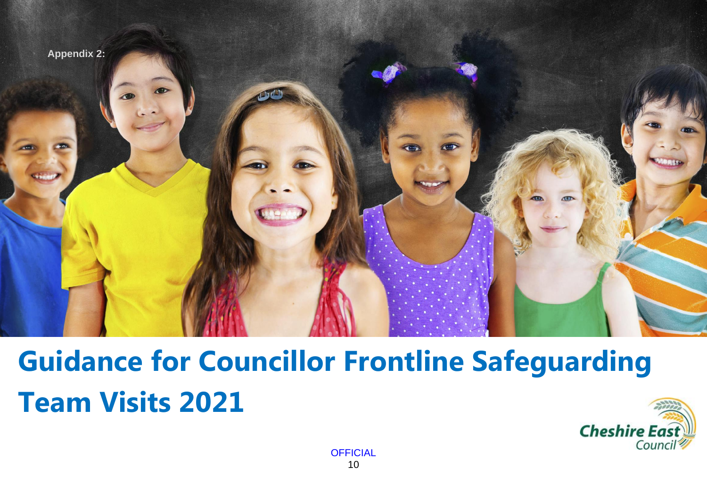

# **Guidance for Councillor Frontline Safeguarding Team Visits 2021**

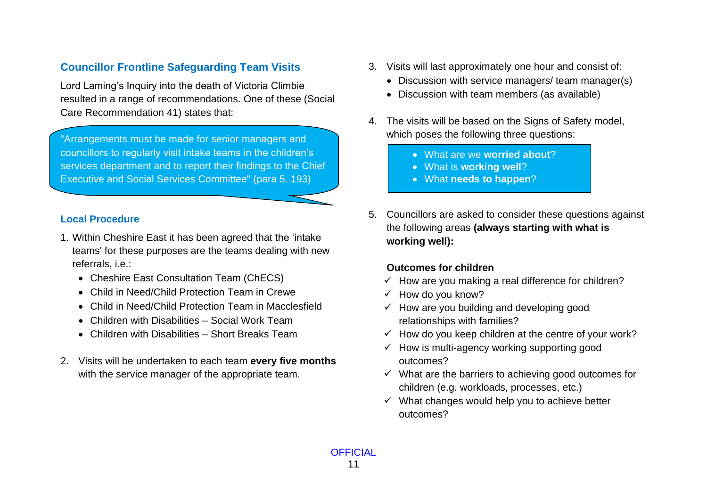## **Councillor Frontline Safeguarding Team Visits**

Lord Laming's Inquiry into the death of Victoria Climbie resulted in a range of recommendations. One of these (Social Care Recommendation 41) states that:

"Arrangements must be made for senior managers and councillors to regularly visit intake teams in the children's services department and to report their findings to the Chief Executive and Social Services Committee" (para 5. 193)

### **Local Procedure**

- 1. Within Cheshire East it has been agreed that the 'intake teams' for these purposes are the teams dealing with new referrals, i.e.:
	- Cheshire East Consultation Team (ChECS)
	- Child in Need/Child Protection Team in Crewe
	- Child in Need/Child Protection Team in Macclesfield
	- Children with Disabilities Social Work Team
	- Children with Disabilities Short Breaks Team
- 2. Visits will be undertaken to each team **every five months** with the service manager of the appropriate team.
- 3. Visits will last approximately one hour and consist of:
	- Discussion with service managers/ team manager(s)
	- Discussion with team members (as available)
- 4. The visits will be based on the Signs of Safety model, which poses the following three questions:
	- What are we **worried about**?
	- What is **working well**?
	- What **needs to happen**?
- 5. Councillors are asked to consider these questions against the following areas **(always starting with what is working well):**

## **Outcomes for children**

- $\checkmark$  How are you making a real difference for children?
- $\checkmark$  How do you know?
- $\checkmark$  How are you building and developing good relationships with families?
- $\checkmark$  How do you keep children at the centre of your work?
- $\checkmark$  How is multi-agency working supporting good outcomes?
- $\checkmark$  What are the barriers to achieving good outcomes for children (e.g. workloads, processes, etc.)
- $\checkmark$  What changes would help you to achieve better outcomes?